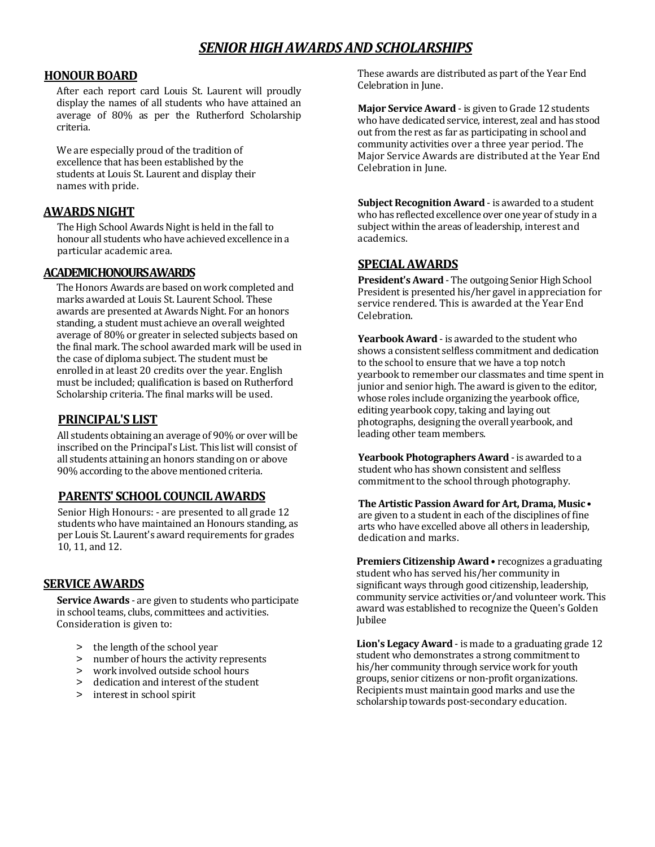# *SENIOR HIGH AWARDS AND SCHOLARSHIPS*

#### **HONOUR BOARD**

After each report card Louis St. Laurent will proudly display the names of all students who have attained an average of 80% as per the Rutherford Scholarship criteria.

We are especially proud of the tradition of excellence that has been established by the students at Louis St. Laurent and display their names with pride.

### **AWARDS NIGHT**

The High School Awards Night is held in the fall to honour all students who have achieved excellence in a particular academic area.

#### **ACADEMIC HONOURS AWARDS**

The Honors Awards are based on work completed and marks awarded at Louis St. Laurent School. These awards are presented at Awards Night. For an honors standing, a student must achieve an overall weighted average of 80% or greater in selected subjects based on the final mark. The school awarded mark will be used in the case of diploma subject. The student must be enrolled in at least 20 credits over the year. English must be included; qualification is based on Rutherford Scholarship criteria. The final marks will be used.

#### **PRINCIPAL'S LIST**

All students obtaining an average of 90% or over will be inscribed on the Principal's List. This list will consist of all students attaining an honors standing on or above 90% according to the above mentioned criteria.

### **PARENTS' SCHOOL COUNCIL AWARDS**

Senior High Honours: - are presented to all grade 12 students who have maintained an Honours standing, as per Louis St. Laurent's award requirements for grades 10, 11, and 12.

### **SERVICE AWARDS**

**Service Awards** - are given to students who participate in school teams, clubs, committees and activities. Consideration is given to:

- > the length of the school year
- > number of hours the activity represents
- > work involved outside school hours
- > dedication and interest of the student
- > interest in school spirit

These awards are distributed as part of the Year End Celebration in June.

**Major Service Award** - is given to Grade 12 students who have dedicated service, interest, zeal and has stood out from the rest as far as participating in school and community activities over a three year period. The Major Service Awards are distributed at the Year End Celebration in June.

**Subject Recognition Award** - is awarded to a student who has reflected excellence over one year of study in a subject within the areas of leadership, interest and academics.

## **SPECIAL AWARDS**

**President's Award** - The outgoing Senior High School President is presented his/her gavel in appreciation for service rendered. This is awarded at the Year End Celebration.

**Yearbook Award** - is awarded to the student who shows a consistent selfless commitment and dedication to the school to ensure that we have a top notch yearbook to remember our classmates and time spent in junior and senior high. The award is given to the editor, whose roles include organizing the yearbook office, editing yearbook copy, taking and laying out photographs, designing the overall yearbook, and leading other team members.

**Yearbook Photographers Award** - is awarded to a student who has shown consistent and selfless commitment to the school through photography.

**The Artistic Passion Award for Art, Drama, Music** • are given to a student in each of the disciplines of fine arts who have excelled above all others in leadership, dedication and marks.

**Premiers Citizenship Award** • recognizes a graduating student who has served his/her community in significant ways through good citizenship, leadership, community service activities or/and volunteer work. This award was established to recognize the Queen's Golden Jubilee

**Lion's Legacy Award** - is made to a graduating grade 12 student who demonstrates a strong commitment to his/her community through service work for youth groups, senior citizens or non-profit organizations. Recipients must maintain good marks and use the scholarship towards post-secondary education.